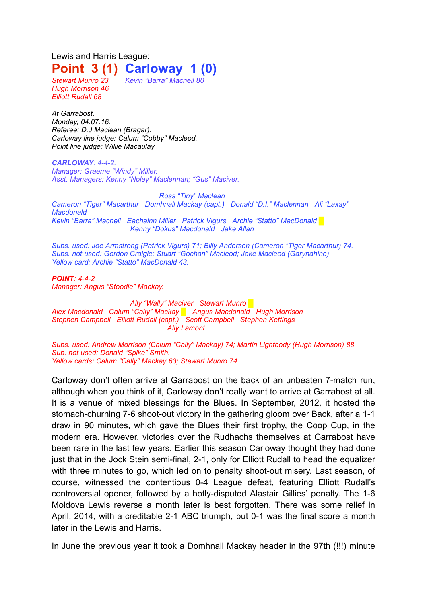## Lewis and Harris League: **Point 3 (1) Carloway 1 (0)**

*Hugh Morrison 46 Elliott Rudall 68*

*Stewart Munro 23 Kevin "Barra" Macneil 80*

*At Garrabost. Monday, 04.07.16. Referee: D.J.Maclean (Bragar). Carloway line judge: Calum "Cobby" Macleod. Point line judge: Willie Macaulay*

*CARLOWAY: 4-4-2. Manager: Graeme "Windy" Miller. Asst. Managers: Kenny "Noley" Maclennan; "Gus" Maciver.*

*Ross "Tiny" Maclean Cameron "Tiger" Macarthur Domhnall Mackay (capt.) Donald "D.I." Maclennan Ali "Laxay" Macdonald Kevin "Barra" Macneil Eachainn Miller Patrick Vigurs Archie "Statto" MacDonald* █ *Kenny "Dokus" Macdonald Jake Allan*

*Subs. used: Joe Armstrong (Patrick Vigurs) 71; Billy Anderson (Cameron "Tiger Macarthur) 74. Subs. not used: Gordon Craigie; Stuart "Gochan" Macleod; Jake Macleod (Garynahine). Yellow card: Archie "Statto" MacDonald 43.*

*POINT: 4-4-2 Manager: Angus "Stoodie" Mackay.*

*Ally "Wally" Maciver Stewart Munro █ Alex Macdonald Calum "Cally" Mackay █ Angus Macdonald Hugh Morrison Stephen Campbell Elliott Rudall (capt.) Scott Campbell Stephen Kettings Ally Lamont*

*Subs. used: Andrew Morrison (Calum "Cally" Mackay) 74; Martin Lightbody (Hugh Morrison) 88 Sub. not used: Donald "Spike" Smith. Yellow cards: Calum "Cally" Mackay 63; Stewart Munro 74*

Carloway don't often arrive at Garrabost on the back of an unbeaten 7-match run, although when you think of it, Carloway don't really want to arrive at Garrabost at all. It is a venue of mixed blessings for the Blues. In September, 2012, it hosted the stomach-churning 7-6 shoot-out victory in the gathering gloom over Back, after a 1-1 draw in 90 minutes, which gave the Blues their first trophy, the Coop Cup, in the modern era. However. victories over the Rudhachs themselves at Garrabost have been rare in the last few years. Earlier this season Carloway thought they had done just that in the Jock Stein semi-final, 2-1, only for Elliott Rudall to head the equalizer with three minutes to go, which led on to penalty shoot-out misery. Last season, of course, witnessed the contentious 0-4 League defeat, featuring Elliott Rudall's controversial opener, followed by a hotly-disputed Alastair Gillies' penalty. The 1-6 Moldova Lewis reverse a month later is best forgotten. There was some relief in April, 2014, with a creditable 2-1 ABC triumph, but 0-1 was the final score a month later in the Lewis and Harris.

In June the previous year it took a Domhnall Mackay header in the 97th (!!!) minute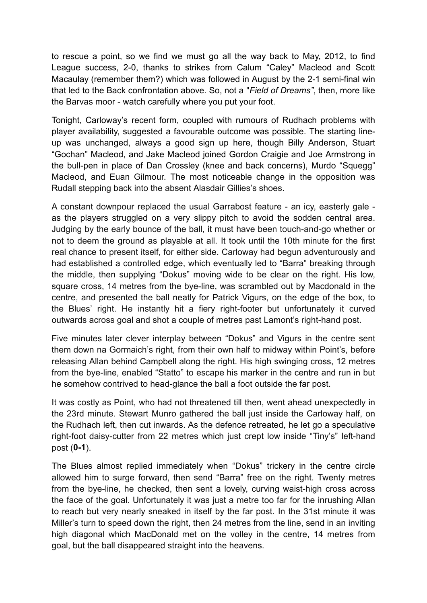to rescue a point, so we find we must go all the way back to May, 2012, to find League success, 2-0, thanks to strikes from Calum "Caley" Macleod and Scott Macaulay (remember them?) which was followed in August by the 2-1 semi-final win that led to the Back confrontation above. So, not a "*Field of Dreams"*, then, more like the Barvas moor - watch carefully where you put your foot.

Tonight, Carloway's recent form, coupled with rumours of Rudhach problems with player availability, suggested a favourable outcome was possible. The starting lineup was unchanged, always a good sign up here, though Billy Anderson, Stuart "Gochan" Macleod, and Jake Macleod joined Gordon Craigie and Joe Armstrong in the bull-pen in place of Dan Crossley (knee and back concerns), Murdo "Squegg" Macleod, and Euan Gilmour. The most noticeable change in the opposition was Rudall stepping back into the absent Alasdair Gillies's shoes.

A constant downpour replaced the usual Garrabost feature - an icy, easterly gale as the players struggled on a very slippy pitch to avoid the sodden central area. Judging by the early bounce of the ball, it must have been touch-and-go whether or not to deem the ground as playable at all. It took until the 10th minute for the first real chance to present itself, for either side. Carloway had begun adventurously and had established a controlled edge, which eventually led to "Barra" breaking through the middle, then supplying "Dokus" moving wide to be clear on the right. His low, square cross, 14 metres from the bye-line, was scrambled out by Macdonald in the centre, and presented the ball neatly for Patrick Vigurs, on the edge of the box, to the Blues' right. He instantly hit a fiery right-footer but unfortunately it curved outwards across goal and shot a couple of metres past Lamont's right-hand post.

Five minutes later clever interplay between "Dokus" and Vigurs in the centre sent them down na Gormaich's right, from their own half to midway within Point's, before releasing Allan behind Campbell along the right. His high swinging cross, 12 metres from the bye-line, enabled "Statto" to escape his marker in the centre and run in but he somehow contrived to head-glance the ball a foot outside the far post.

It was costly as Point, who had not threatened till then, went ahead unexpectedly in the 23rd minute. Stewart Munro gathered the ball just inside the Carloway half, on the Rudhach left, then cut inwards. As the defence retreated, he let go a speculative right-foot daisy-cutter from 22 metres which just crept low inside "Tiny's" left-hand post (**0-1**).

The Blues almost replied immediately when "Dokus" trickery in the centre circle allowed him to surge forward, then send "Barra" free on the right. Twenty metres from the bye-line, he checked, then sent a lovely, curving waist-high cross across the face of the goal. Unfortunately it was just a metre too far for the inrushing Allan to reach but very nearly sneaked in itself by the far post. In the 31st minute it was Miller's turn to speed down the right, then 24 metres from the line, send in an inviting high diagonal which MacDonald met on the volley in the centre, 14 metres from goal, but the ball disappeared straight into the heavens.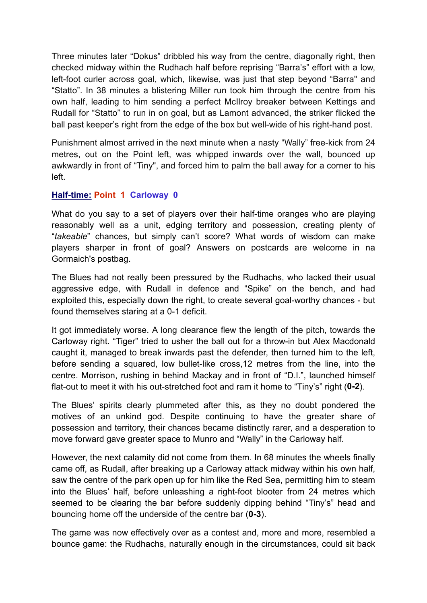Three minutes later "Dokus" dribbled his way from the centre, diagonally right, then checked midway within the Rudhach half before reprising "Barra's" effort with a low, left-foot curler across goal, which, likewise, was just that step beyond "Barra" and "Statto". In 38 minutes a blistering Miller run took him through the centre from his own half, leading to him sending a perfect McIlroy breaker between Kettings and Rudall for "Statto" to run in on goal, but as Lamont advanced, the striker flicked the ball past keeper's right from the edge of the box but well-wide of his right-hand post.

Punishment almost arrived in the next minute when a nasty "Wally" free-kick from 24 metres, out on the Point left, was whipped inwards over the wall, bounced up awkwardly in front of "Tiny", and forced him to palm the ball away for a corner to his left.

## **Half-time: Point 1 Carloway 0**

What do you say to a set of players over their half-time oranges who are playing reasonably well as a unit, edging territory and possession, creating plenty of "*takeable*" chances, but simply can't score? What words of wisdom can make players sharper in front of goal? Answers on postcards are welcome in na Gormaich's postbag.

The Blues had not really been pressured by the Rudhachs, who lacked their usual aggressive edge, with Rudall in defence and "Spike" on the bench, and had exploited this, especially down the right, to create several goal-worthy chances - but found themselves staring at a 0-1 deficit.

It got immediately worse. A long clearance flew the length of the pitch, towards the Carloway right. "Tiger" tried to usher the ball out for a throw-in but Alex Macdonald caught it, managed to break inwards past the defender, then turned him to the left, before sending a squared, low bullet-like cross,12 metres from the line, into the centre. Morrison, rushing in behind Mackay and in front of "D.I.", launched himself flat-out to meet it with his out-stretched foot and ram it home to "Tiny's" right (**0-2**).

The Blues' spirits clearly plummeted after this, as they no doubt pondered the motives of an unkind god. Despite continuing to have the greater share of possession and territory, their chances became distinctly rarer, and a desperation to move forward gave greater space to Munro and "Wally" in the Carloway half.

However, the next calamity did not come from them. In 68 minutes the wheels finally came off, as Rudall, after breaking up a Carloway attack midway within his own half, saw the centre of the park open up for him like the Red Sea, permitting him to steam into the Blues' half, before unleashing a right-foot blooter from 24 metres which seemed to be clearing the bar before suddenly dipping behind "Tiny's" head and bouncing home off the underside of the centre bar (**0-3**).

The game was now effectively over as a contest and, more and more, resembled a bounce game: the Rudhachs, naturally enough in the circumstances, could sit back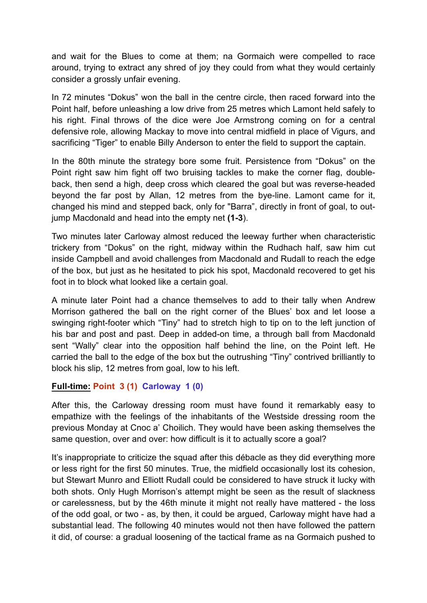and wait for the Blues to come at them; na Gormaich were compelled to race around, trying to extract any shred of joy they could from what they would certainly consider a grossly unfair evening.

In 72 minutes "Dokus" won the ball in the centre circle, then raced forward into the Point half, before unleashing a low drive from 25 metres which Lamont held safely to his right. Final throws of the dice were Joe Armstrong coming on for a central defensive role, allowing Mackay to move into central midfield in place of Vigurs, and sacrificing "Tiger" to enable Billy Anderson to enter the field to support the captain.

In the 80th minute the strategy bore some fruit. Persistence from "Dokus" on the Point right saw him fight off two bruising tackles to make the corner flag, doubleback, then send a high, deep cross which cleared the goal but was reverse-headed beyond the far post by Allan, 12 metres from the bye-line. Lamont came for it, changed his mind and stepped back, only for "Barra", directly in front of goal, to outjump Macdonald and head into the empty net **(1-3**).

Two minutes later Carloway almost reduced the leeway further when characteristic trickery from "Dokus" on the right, midway within the Rudhach half, saw him cut inside Campbell and avoid challenges from Macdonald and Rudall to reach the edge of the box, but just as he hesitated to pick his spot, Macdonald recovered to get his foot in to block what looked like a certain goal.

A minute later Point had a chance themselves to add to their tally when Andrew Morrison gathered the ball on the right corner of the Blues' box and let loose a swinging right-footer which "Tiny" had to stretch high to tip on to the left junction of his bar and post and past. Deep in added-on time, a through ball from Macdonald sent "Wally" clear into the opposition half behind the line, on the Point left. He carried the ball to the edge of the box but the outrushing "Tiny" contrived brilliantly to block his slip, 12 metres from goal, low to his left.

## **Full-time: Point 3 (1) Carloway 1 (0)**

After this, the Carloway dressing room must have found it remarkably easy to empathize with the feelings of the inhabitants of the Westside dressing room the previous Monday at Cnoc a' Choilich. They would have been asking themselves the same question, over and over: how difficult is it to actually score a goal?

It's inappropriate to criticize the squad after this débacle as they did everything more or less right for the first 50 minutes. True, the midfield occasionally lost its cohesion, but Stewart Munro and Elliott Rudall could be considered to have struck it lucky with both shots. Only Hugh Morrison's attempt might be seen as the result of slackness or carelessness, but by the 46th minute it might not really have mattered - the loss of the odd goal, or two - as, by then, it could be argued, Carloway might have had a substantial lead. The following 40 minutes would not then have followed the pattern it did, of course: a gradual loosening of the tactical frame as na Gormaich pushed to